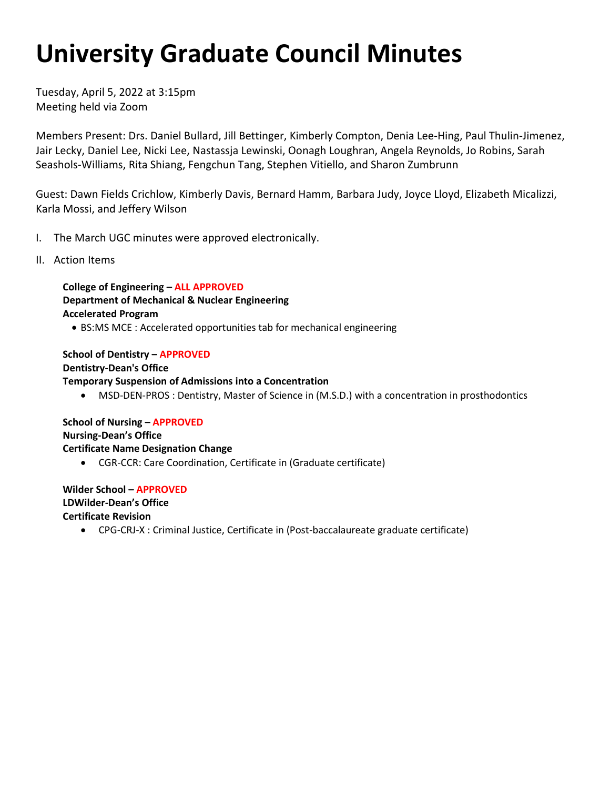# **University Graduate Council Minutes**

 Tuesday, April 5, 2022 at 3:15pm Meeting held via Zoom

 Jair Lecky, Daniel Lee, Nicki Lee, Nastassja Lewinski, Oonagh Loughran, Angela Reynolds, Jo Robins, Sarah Members Present: Drs. Daniel Bullard, Jill Bettinger, Kimberly Compton, Denia Lee-Hing, Paul Thulin-Jimenez, Seashols-Williams, Rita Shiang, Fengchun Tang, Stephen Vitiello, and Sharon Zumbrunn

Guest: Dawn Fields Crichlow, Kimberly Davis, Bernard Hamm, Barbara Judy, Joyce Lloyd, Elizabeth Micalizzi, Karla Mossi, and Jeffery Wilson

- I. The March UGC minutes were approved electronically.
- II. Action Items

 **Department of Mechanical & Nuclear Engineering Accelerated Program College of Engineering – ALL APPROVED** 

• BS:MS MCE : Accelerated opportunities tab for mechanical engineering

 **School of Dentistry – APPROVED**  • MSD-DEN-PROS : Dentistry, Master of Science in (M.S.D.) with a concentration in prosthodontics **Dentistry-Dean's Office Temporary Suspension of Admissions into a Concentration** 

 **School of Nursing – APPROVED Nursing-Dean's Office Certificate Name Designation Change** 

• CGR-CCR: Care Coordination, Certificate in (Graduate certificate)

 **Wilder School – APPROVED LDWilder-Dean's Office Certificate Revision** 

• CPG-CRJ-X : Criminal Justice, Certificate in (Post-baccalaureate graduate certificate)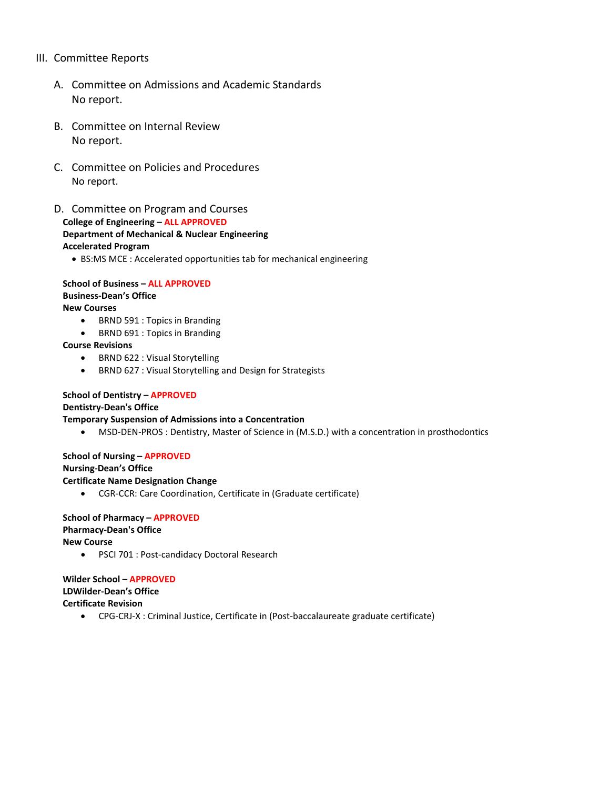## III. Committee Reports

- A. Committee on Admissions and Academic Standards No report.
- B. Committee on Internal Review No report.
- C. Committee on Policies and Procedures No report.
- **College of Engineering ALL APPROVED Accelerated Program** D. Committee on Program and Courses **Department of Mechanical & Nuclear Engineering** 
	- BS:MS MCE : Accelerated opportunities tab for mechanical engineering

 **School of Business – ALL APPROVED Business-Dean's Office New Courses** 

- BRND 591 : Topics in Branding
- BRND 691 : Topics in Branding

#### **Course Revisions**

- BRND 622 : Visual Storytelling
- BRND 627 : Visual Storytelling and Design for Strategists

## **School of Dentistry – APPROVED**

#### **Dentistry-Dean's Office**

#### **Temporary Suspension of Admissions into a Concentration**

• MSD-DEN-PROS : Dentistry, Master of Science in (M.S.D.) with a concentration in prosthodontics

#### **School of Nursing – APPROVED**

#### **Nursing-Dean's Office**

#### **Certificate Name Designation Change**

• CGR-CCR: Care Coordination, Certificate in (Graduate certificate)

# **School of Pharmacy – APPROVED Pharmacy-Dean's Office**

**New Course** 

• PSCI 701 : Post-candidacy Doctoral Research

# **Wilder School – APPROVED**

## **LDWilder-Dean's Office**

**Certificate Revision** 

• CPG-CRJ-X : Criminal Justice, Certificate in (Post-baccalaureate graduate certificate)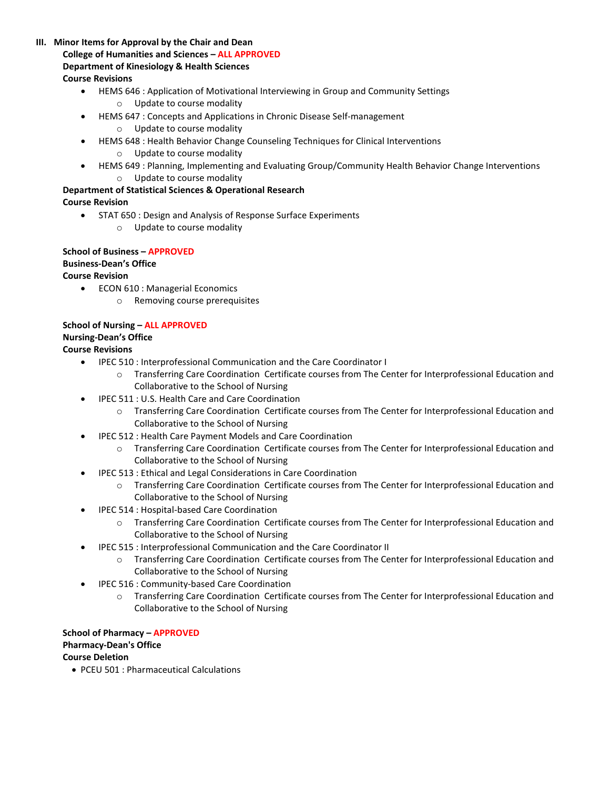- **College of Humanities and Sciences ALL APPROVED III. Minor Items for Approval by the Chair and Dean Department of Kinesiology & Health Sciences Course Revisions** 
	- HEMS 646 : Application of Motivational Interviewing in Group and Community Settings o Update to course modality
	- HEMS 647 : Concepts and Applications in Chronic Disease Self-management
		- o Update to course modality
	- HEMS 648 : Health Behavior Change Counseling Techniques for Clinical Interventions
		- o Update to course modality
	- HEMS 649 : Planning, Implementing and Evaluating Group/Community Health Behavior Change Interventions o Update to course modality

## **Department of Statistical Sciences & Operational Research**

## **Course Revision**

- STAT 650 : Design and Analysis of Response Surface Experiments
	- o Update to course modality

### **School of Business – APPROVED Business-Dean's Office Course Revision**

- ECON 610 : Managerial Economics
	- o Removing course prerequisites

# **School of Nursing – ALL APPROVED**

# **Nursing-Dean's Office**

## **Course Revisions**

- IPEC 510 : Interprofessional Communication and the Care Coordinator I
	- o Transferring Care Coordination Certificate courses from The Center for Interprofessional Education and Collaborative to the School of Nursing
- IPEC 511 : U.S. Health Care and Care Coordination
	- o Transferring Care Coordination Certificate courses from The Center for Interprofessional Education and Collaborative to the School of Nursing
- IPEC 512 : Health Care Payment Models and Care Coordination
	- o Transferring Care Coordination Certificate courses from The Center for Interprofessional Education and Collaborative to the School of Nursing
- IPEC 513 : Ethical and Legal Considerations in Care Coordination
	- o Transferring Care Coordination Certificate courses from The Center for Interprofessional Education and Collaborative to the School of Nursing
- IPEC 514 : Hospital-based Care Coordination
	- o Transferring Care Coordination Certificate courses from The Center for Interprofessional Education and Collaborative to the School of Nursing
- IPEC 515 : Interprofessional Communication and the Care Coordinator II
	- o Transferring Care Coordination Certificate courses from The Center for Interprofessional Education and Collaborative to the School of Nursing
- IPEC 516 : Community-based Care Coordination
	- o Transferring Care Coordination Certificate courses from The Center for Interprofessional Education and Collaborative to the School of Nursing

 **School of Pharmacy – APPROVED Pharmacy-Dean's Office Course Deletion** 

• PCEU 501 : Pharmaceutical Calculations